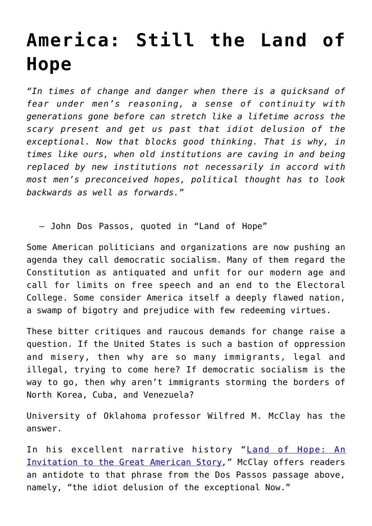## **[America: Still the Land of](https://intellectualtakeout.org/2019/06/america-still-the-land-of-hope/) [Hope](https://intellectualtakeout.org/2019/06/america-still-the-land-of-hope/)**

*"In times of change and danger when there is a quicksand of fear under men's reasoning, a sense of continuity with generations gone before can stretch like a lifetime across the scary present and get us past that idiot delusion of the exceptional. Now that blocks good thinking. That is why, in times like ours, when old institutions are caving in and being replaced by new institutions not necessarily in accord with most men's preconceived hopes, political thought has to look backwards as well as forwards."*

– John Dos Passos, quoted in "Land of Hope"

Some American politicians and organizations are now pushing an agenda they call democratic socialism. Many of them regard the Constitution as antiquated and unfit for our modern age and call for limits on free speech and an end to the Electoral College. Some consider America itself a deeply flawed nation, a swamp of bigotry and prejudice with few redeeming virtues.

These bitter critiques and raucous demands for change raise a question. If the United States is such a bastion of oppression and misery, then why are so many immigrants, legal and illegal, trying to come here? If democratic socialism is the way to go, then why aren't immigrants storming the borders of North Korea, Cuba, and Venezuela?

University of Oklahoma professor Wilfred M. McClay has the answer.

In his excellent narrative history "[Land of Hope: An](https://www.amazon.com/gp/product/1594039372/ref=as_li_qf_asin_il_tl?ie=UTF8&tag=intelltakeo0d-20&creative=9325&linkCode=as2&creativeASIN=1594039372&linkId=92093ced2465102b4e6ecd9d88484533) [Invitation to the Great American Story](https://www.amazon.com/gp/product/1594039372/ref=as_li_qf_asin_il_tl?ie=UTF8&tag=intelltakeo0d-20&creative=9325&linkCode=as2&creativeASIN=1594039372&linkId=92093ced2465102b4e6ecd9d88484533)*,*" McClay offers readers an antidote to that phrase from the Dos Passos passage above, namely, "the idiot delusion of the exceptional Now."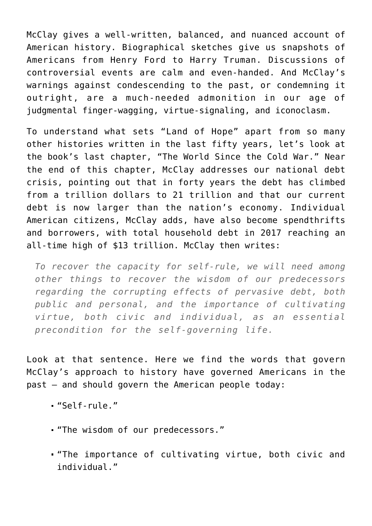McClay gives a well-written, balanced, and nuanced account of American history. Biographical sketches give us snapshots of Americans from Henry Ford to Harry Truman. Discussions of controversial events are calm and even-handed. And McClay's warnings against condescending to the past, or condemning it outright, are a much-needed admonition in our age of judgmental finger-wagging, virtue-signaling, and iconoclasm.

To understand what sets "Land of Hope" apart from so many other histories written in the last fifty years, let's look at the book's last chapter, "The World Since the Cold War." Near the end of this chapter, McClay addresses our national debt crisis, pointing out that in forty years the debt has climbed from a trillion dollars to 21 trillion and that our current debt is now larger than the nation's economy. Individual American citizens, McClay adds, have also become spendthrifts and borrowers, with total household debt in 2017 reaching an all-time high of \$13 trillion. McClay then writes:

*To recover the capacity for self-rule, we will need among other things to recover the wisdom of our predecessors regarding the corrupting effects of pervasive debt, both public and personal, and the importance of cultivating virtue, both civic and individual, as an essential precondition for the self-governing life.*

Look at that sentence. Here we find the words that govern McClay's approach to history have governed Americans in the past – and should govern the American people today:

- "Self-rule."
- "The wisdom of our predecessors."
- "The importance of cultivating virtue, both civic and individual."